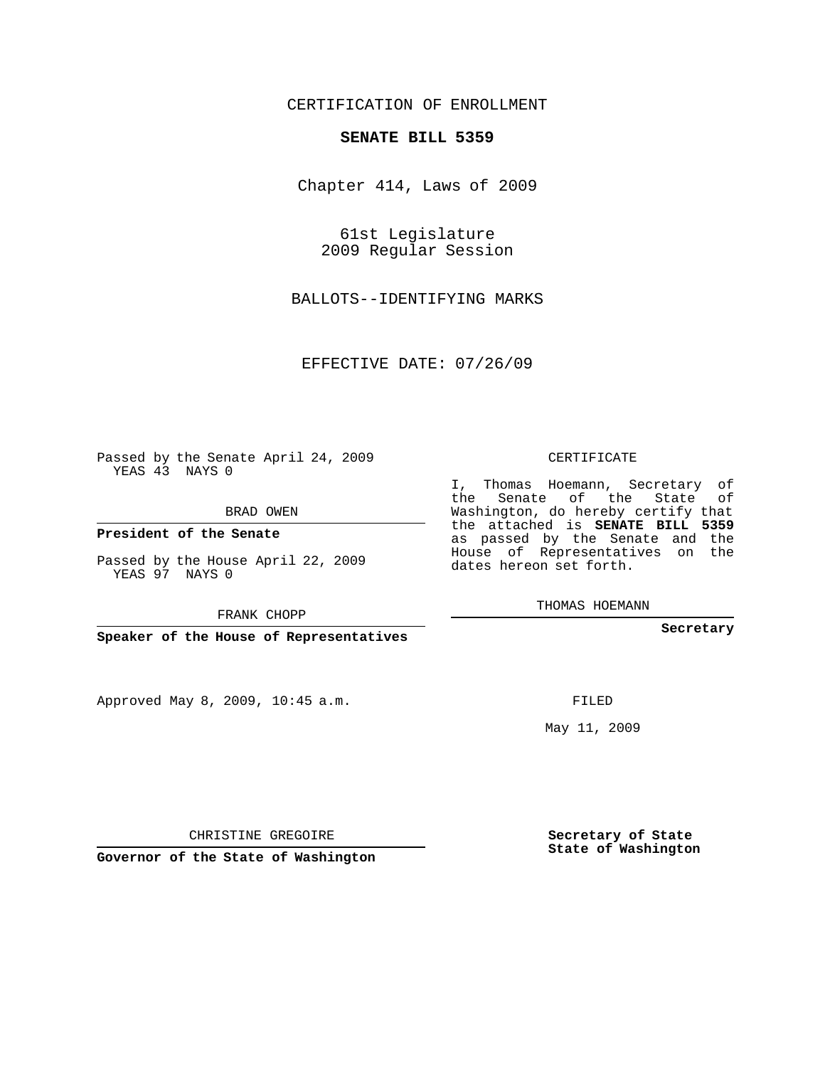## CERTIFICATION OF ENROLLMENT

## **SENATE BILL 5359**

Chapter 414, Laws of 2009

61st Legislature 2009 Regular Session

BALLOTS--IDENTIFYING MARKS

EFFECTIVE DATE: 07/26/09

Passed by the Senate April 24, 2009 YEAS 43 NAYS 0

BRAD OWEN

**President of the Senate**

Passed by the House April 22, 2009 YEAS 97 NAYS 0

FRANK CHOPP

**Speaker of the House of Representatives**

Approved May 8, 2009, 10:45 a.m.

CERTIFICATE

I, Thomas Hoemann, Secretary of the Senate of the State of Washington, do hereby certify that the attached is **SENATE BILL 5359** as passed by the Senate and the House of Representatives on the dates hereon set forth.

THOMAS HOEMANN

**Secretary**

FILED

May 11, 2009

**Secretary of State State of Washington**

CHRISTINE GREGOIRE

**Governor of the State of Washington**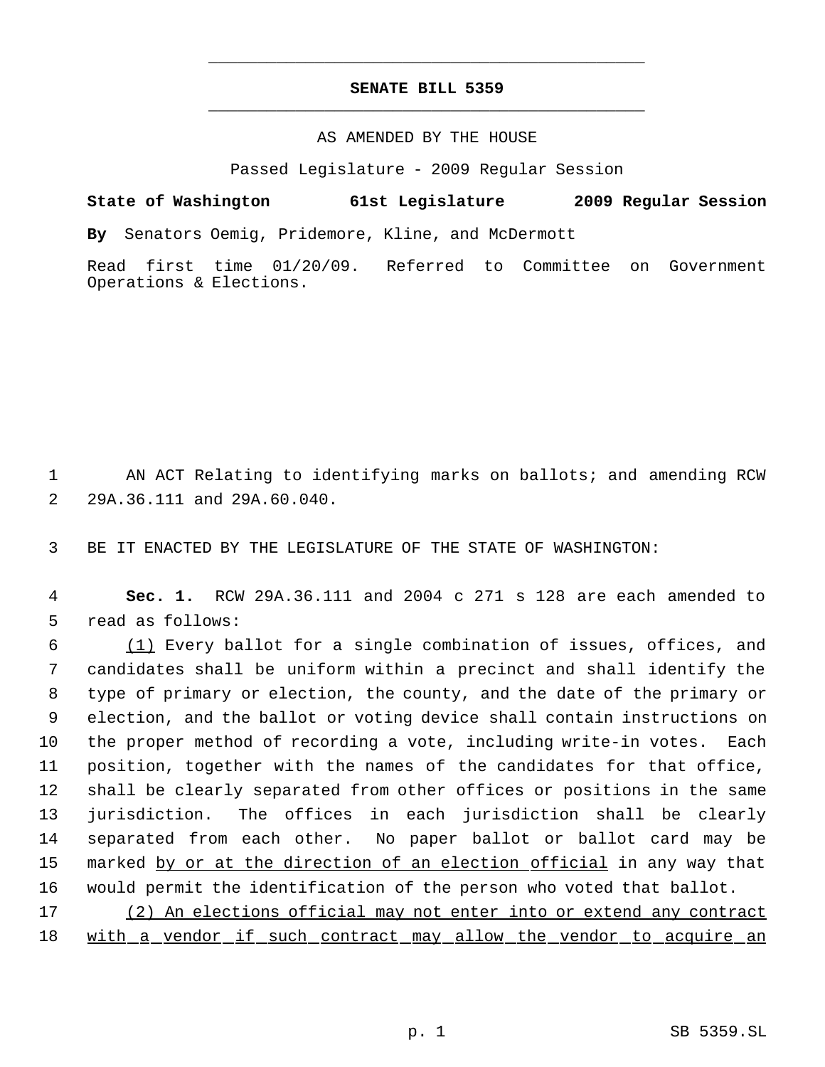## **SENATE BILL 5359** \_\_\_\_\_\_\_\_\_\_\_\_\_\_\_\_\_\_\_\_\_\_\_\_\_\_\_\_\_\_\_\_\_\_\_\_\_\_\_\_\_\_\_\_\_

\_\_\_\_\_\_\_\_\_\_\_\_\_\_\_\_\_\_\_\_\_\_\_\_\_\_\_\_\_\_\_\_\_\_\_\_\_\_\_\_\_\_\_\_\_

## AS AMENDED BY THE HOUSE

Passed Legislature - 2009 Regular Session

**State of Washington 61st Legislature 2009 Regular Session**

**By** Senators Oemig, Pridemore, Kline, and McDermott

Read first time 01/20/09. Referred to Committee on Government Operations & Elections.

 1 AN ACT Relating to identifying marks on ballots; and amending RCW 2 29A.36.111 and 29A.60.040.

3 BE IT ENACTED BY THE LEGISLATURE OF THE STATE OF WASHINGTON:

 4 **Sec. 1.** RCW 29A.36.111 and 2004 c 271 s 128 are each amended to 5 read as follows:

 (1) Every ballot for a single combination of issues, offices, and candidates shall be uniform within a precinct and shall identify the type of primary or election, the county, and the date of the primary or election, and the ballot or voting device shall contain instructions on the proper method of recording a vote, including write-in votes. Each position, together with the names of the candidates for that office, shall be clearly separated from other offices or positions in the same jurisdiction. The offices in each jurisdiction shall be clearly separated from each other. No paper ballot or ballot card may be 15 marked by or at the direction of an election official in any way that would permit the identification of the person who voted that ballot.

17 (2) An elections official may not enter into or extend any contract 18 with a vendor if such contract may allow the vendor to acquire an